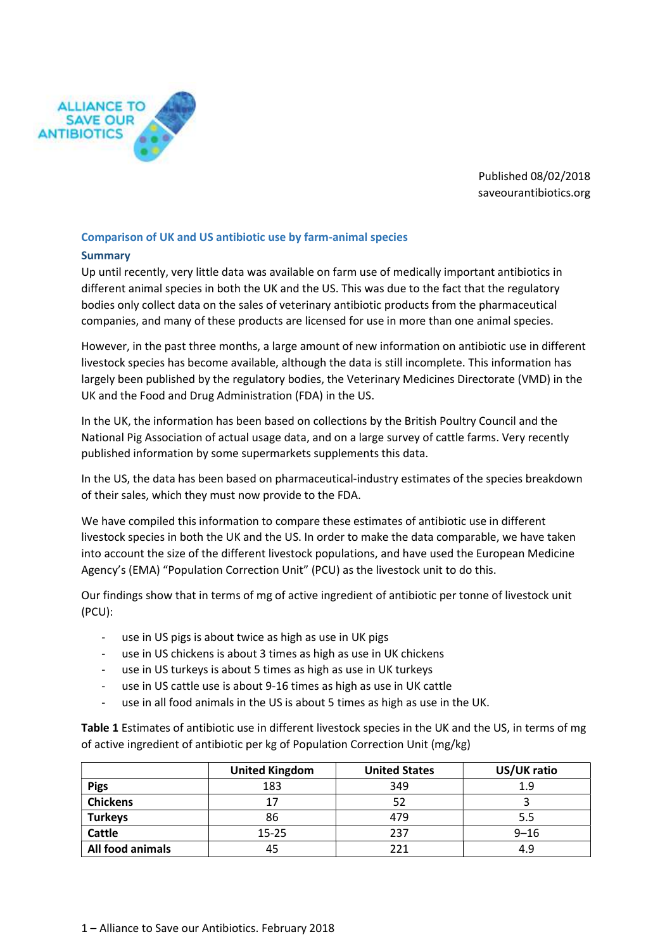

Published 08/02/2018 saveourantibiotics.org

# Comparison of UK and US antibiotic use by farm-animal species

#### Summary

Up until recently, very little data was available on farm use of medically important antibiotics in different animal species in both the UK and the US. This was due to the fact that the regulatory bodies only collect data on the sales of veterinary antibiotic products from the pharmaceutical companies, and many of these products are licensed for use in more than one animal species.

However, in the past three months, a large amount of new information on antibiotic use in different livestock species has become available, although the data is still incomplete. This information has largely been published by the regulatory bodies, the Veterinary Medicines Directorate (VMD) in the UK and the Food and Drug Administration (FDA) in the US.

In the UK, the information has been based on collections by the British Poultry Council and the National Pig Association of actual usage data, and on a large survey of cattle farms. Very recently published information by some supermarkets supplements this data.

In the US, the data has been based on pharmaceutical-industry estimates of the species breakdown of their sales, which they must now provide to the FDA.

We have compiled this information to compare these estimates of antibiotic use in different livestock species in both the UK and the US. In order to make the data comparable, we have taken into account the size of the different livestock populations, and have used the European Medicine Agency's (EMA) "Population Correction Unit" (PCU) as the livestock unit to do this.

Our findings show that in terms of mg of active ingredient of antibiotic per tonne of livestock unit (PCU):

- use in US pigs is about twice as high as use in UK pigs
- use in US chickens is about 3 times as high as use in UK chickens
- use in US turkeys is about 5 times as high as use in UK turkeys
- use in US cattle use is about 9-16 times as high as use in UK cattle
- use in all food animals in the US is about 5 times as high as use in the UK.

Table 1 Estimates of antibiotic use in different livestock species in the UK and the US, in terms of mg of active ingredient of antibiotic per kg of Population Correction Unit (mg/kg)

|                  | <b>United Kingdom</b> | <b>United States</b> | US/UK ratio |
|------------------|-----------------------|----------------------|-------------|
| <b>Pigs</b>      | 183                   | 349                  | 1.9         |
| <b>Chickens</b>  | 17                    | 52                   |             |
| <b>Turkeys</b>   | 86                    | 479                  | 5.5         |
| <b>Cattle</b>    | $15 - 25$             | 237                  | $9 - 16$    |
| All food animals | 45                    | 221                  | 4.9         |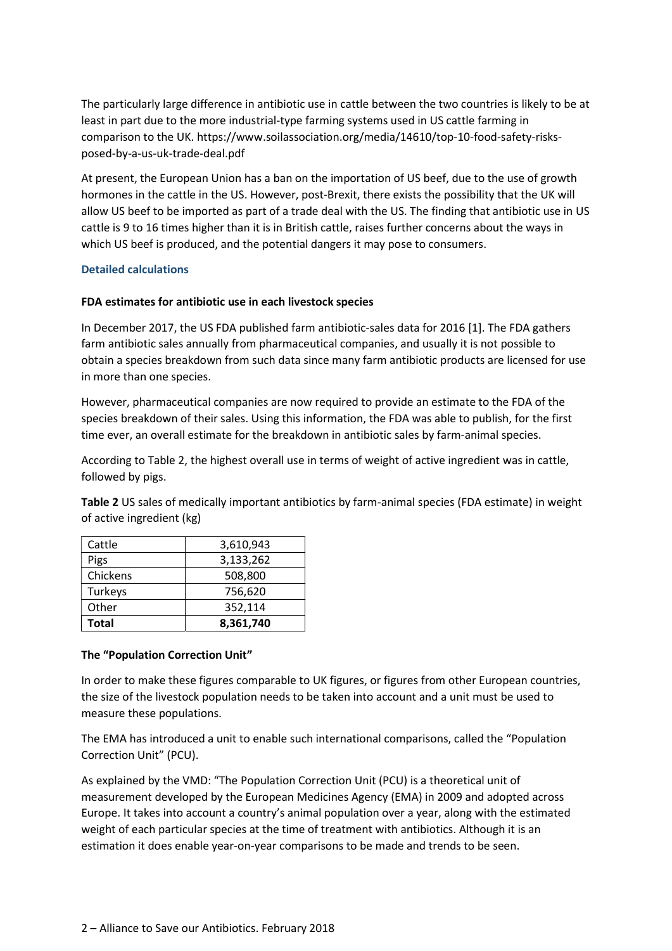The particularly large difference in antibiotic use in cattle between the two countries is likely to be at least in part due to the more industrial-type farming systems used in US cattle farming in comparison to the UK. https://www.soilassociation.org/media/14610/top-10-food-safety-risksposed-by-a-us-uk-trade-deal.pdf

At present, the European Union has a ban on the importation of US beef, due to the use of growth hormones in the cattle in the US. However, post-Brexit, there exists the possibility that the UK will allow US beef to be imported as part of a trade deal with the US. The finding that antibiotic use in US cattle is 9 to 16 times higher than it is in British cattle, raises further concerns about the ways in which US beef is produced, and the potential dangers it may pose to consumers.

### Detailed calculations

### FDA estimates for antibiotic use in each livestock species

In December 2017, the US FDA published farm antibiotic-sales data for 2016 [1]. The FDA gathers farm antibiotic sales annually from pharmaceutical companies, and usually it is not possible to obtain a species breakdown from such data since many farm antibiotic products are licensed for use in more than one species.

However, pharmaceutical companies are now required to provide an estimate to the FDA of the species breakdown of their sales. Using this information, the FDA was able to publish, for the first time ever, an overall estimate for the breakdown in antibiotic sales by farm-animal species.

According to Table 2, the highest overall use in terms of weight of active ingredient was in cattle, followed by pigs.

Table 2 US sales of medically important antibiotics by farm-animal species (FDA estimate) in weight of active ingredient (kg)

| Total    | 8,361,740 |  |
|----------|-----------|--|
| Other    | 352,114   |  |
| Turkeys  | 756,620   |  |
| Chickens | 508,800   |  |
| Pigs     | 3,133,262 |  |
| Cattle   | 3,610,943 |  |

#### The "Population Correction Unit"

In order to make these figures comparable to UK figures, or figures from other European countries, the size of the livestock population needs to be taken into account and a unit must be used to measure these populations.

The EMA has introduced a unit to enable such international comparisons, called the "Population Correction Unit" (PCU).

As explained by the VMD: "The Population Correction Unit (PCU) is a theoretical unit of measurement developed by the European Medicines Agency (EMA) in 2009 and adopted across Europe. It takes into account a country's animal population over a year, along with the estimated weight of each particular species at the time of treatment with antibiotics. Although it is an estimation it does enable year-on-year comparisons to be made and trends to be seen.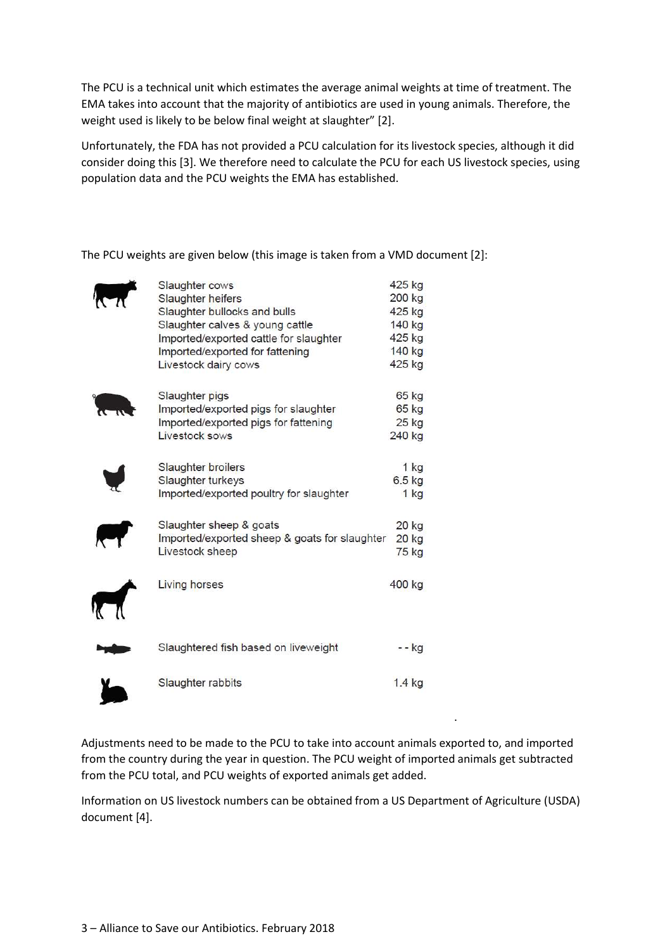The PCU is a technical unit which estimates the average animal weights at time of treatment. The EMA takes into account that the majority of antibiotics are used in young animals. Therefore, the weight used is likely to be below final weight at slaughter" [2].

Unfortunately, the FDA has not provided a PCU calculation for its livestock species, although it did consider doing this [3]. We therefore need to calculate the PCU for each US livestock species, using population data and the PCU weights the EMA has established.

The PCU weights are given below (this image is taken from a VMD document [2]:

| Slaughter cows                                | 425 kg   |
|-----------------------------------------------|----------|
| Slaughter heifers                             | 200 kg   |
| Slaughter bullocks and bulls                  | 425 kg   |
| Slaughter calves & young cattle               | 140 kg   |
| Imported/exported cattle for slaughter        | 425 kg   |
| Imported/exported for fattening               | 140 kg   |
| Livestock dairy cows                          | 425 kg   |
| Slaughter pigs                                | 65 kg    |
| Imported/exported pigs for slaughter          | 65 kg    |
| Imported/exported pigs for fattening          | 25 kg    |
| Livestock sows                                | 240 kg   |
| Slaughter broilers                            | 1 kg     |
| Slaughter turkeys                             | $6.5$ kg |
| Imported/exported poultry for slaughter       | $1$ kg   |
| Slaughter sheep & goats                       | 20 kg    |
| Imported/exported sheep & goats for slaughter | 20 kg    |
| Livestock sheep                               | 75 kg    |
| <b>Living horses</b><br><b>ICT</b>            | 400 kg   |
| Slaughtered fish based on liveweight          | - - kg   |
| Slaughter rabbits                             | $1.4$ kg |

Adjustments need to be made to the PCU to take into account animals exported to, and imported from the country during the year in question. The PCU weight of imported animals get subtracted from the PCU total, and PCU weights of exported animals get added.

.

Information on US livestock numbers can be obtained from a US Department of Agriculture (USDA) document [4].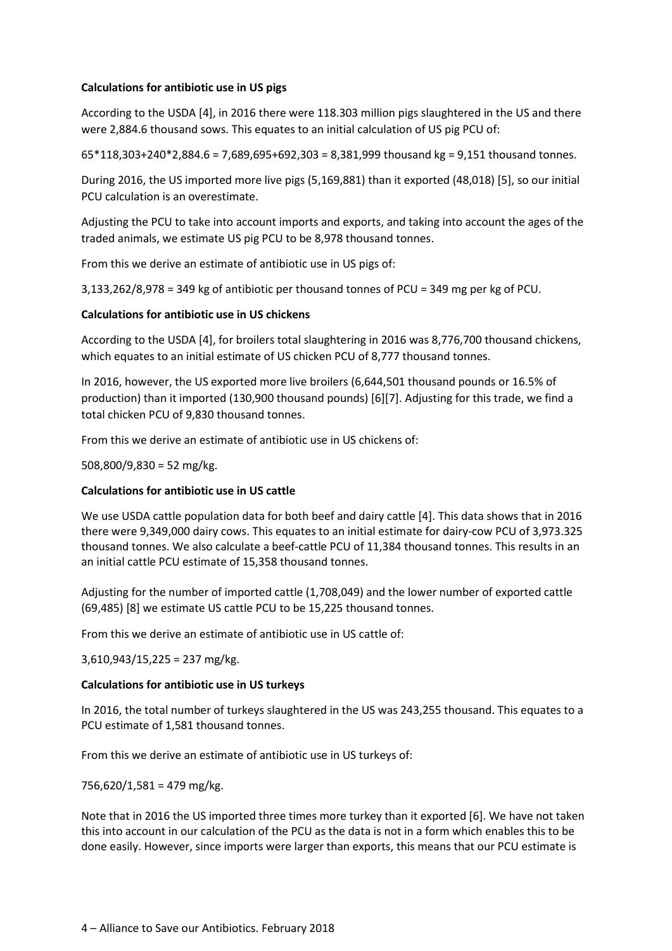### Calculations for antibiotic use in US pigs

According to the USDA [4], in 2016 there were 118.303 million pigs slaughtered in the US and there were 2,884.6 thousand sows. This equates to an initial calculation of US pig PCU of:

65\*118,303+240\*2,884.6 = 7,689,695+692,303 = 8,381,999 thousand kg = 9,151 thousand tonnes.

During 2016, the US imported more live pigs (5,169,881) than it exported (48,018) [5], so our initial PCU calculation is an overestimate.

Adjusting the PCU to take into account imports and exports, and taking into account the ages of the traded animals, we estimate US pig PCU to be 8,978 thousand tonnes.

From this we derive an estimate of antibiotic use in US pigs of:

3,133,262/8,978 = 349 kg of antibiotic per thousand tonnes of PCU = 349 mg per kg of PCU.

### Calculations for antibiotic use in US chickens

According to the USDA [4], for broilers total slaughtering in 2016 was 8,776,700 thousand chickens, which equates to an initial estimate of US chicken PCU of 8,777 thousand tonnes.

In 2016, however, the US exported more live broilers (6,644,501 thousand pounds or 16.5% of production) than it imported (130,900 thousand pounds) [6][7]. Adjusting for this trade, we find a total chicken PCU of 9,830 thousand tonnes.

From this we derive an estimate of antibiotic use in US chickens of:

508,800/9,830 = 52 mg/kg.

#### Calculations for antibiotic use in US cattle

We use USDA cattle population data for both beef and dairy cattle [4]. This data shows that in 2016 there were 9,349,000 dairy cows. This equates to an initial estimate for dairy-cow PCU of 3,973.325 thousand tonnes. We also calculate a beef-cattle PCU of 11,384 thousand tonnes. This results in an an initial cattle PCU estimate of 15,358 thousand tonnes.

Adjusting for the number of imported cattle (1,708,049) and the lower number of exported cattle (69,485) [8] we estimate US cattle PCU to be 15,225 thousand tonnes.

From this we derive an estimate of antibiotic use in US cattle of:

3,610,943/15,225 = 237 mg/kg.

#### Calculations for antibiotic use in US turkeys

In 2016, the total number of turkeys slaughtered in the US was 243,255 thousand. This equates to a PCU estimate of 1,581 thousand tonnes.

From this we derive an estimate of antibiotic use in US turkeys of:

756,620/1,581 = 479 mg/kg.

Note that in 2016 the US imported three times more turkey than it exported [6]. We have not taken this into account in our calculation of the PCU as the data is not in a form which enables this to be done easily. However, since imports were larger than exports, this means that our PCU estimate is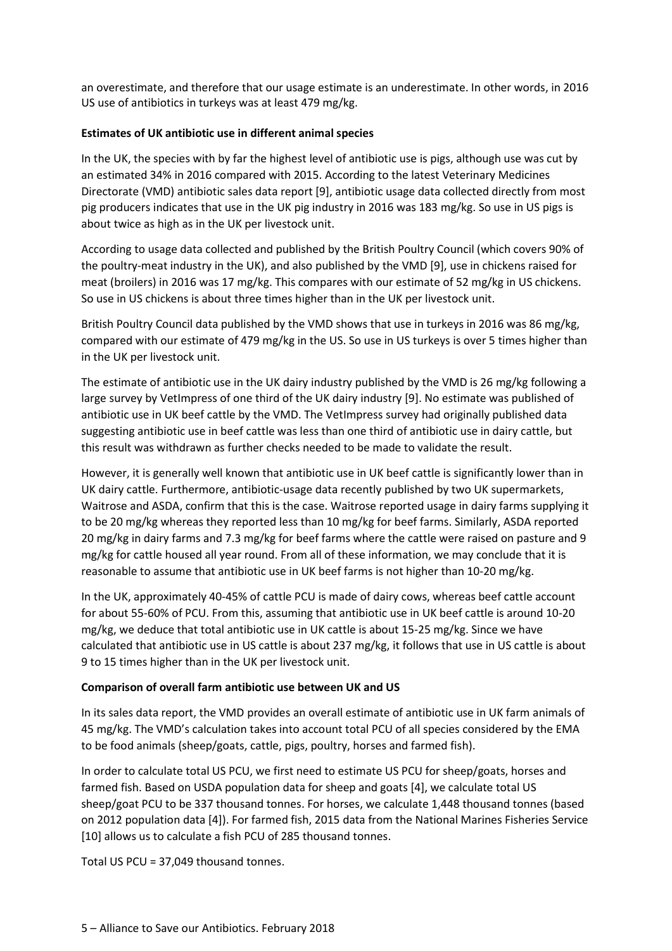an overestimate, and therefore that our usage estimate is an underestimate. In other words, in 2016 US use of antibiotics in turkeys was at least 479 mg/kg.

# Estimates of UK antibiotic use in different animal species

In the UK, the species with by far the highest level of antibiotic use is pigs, although use was cut by an estimated 34% in 2016 compared with 2015. According to the latest Veterinary Medicines Directorate (VMD) antibiotic sales data report [9], antibiotic usage data collected directly from most pig producers indicates that use in the UK pig industry in 2016 was 183 mg/kg. So use in US pigs is about twice as high as in the UK per livestock unit.

According to usage data collected and published by the British Poultry Council (which covers 90% of the poultry-meat industry in the UK), and also published by the VMD [9], use in chickens raised for meat (broilers) in 2016 was 17 mg/kg. This compares with our estimate of 52 mg/kg in US chickens. So use in US chickens is about three times higher than in the UK per livestock unit.

British Poultry Council data published by the VMD shows that use in turkeys in 2016 was 86 mg/kg, compared with our estimate of 479 mg/kg in the US. So use in US turkeys is over 5 times higher than in the UK per livestock unit.

The estimate of antibiotic use in the UK dairy industry published by the VMD is 26 mg/kg following a large survey by VetImpress of one third of the UK dairy industry [9]. No estimate was published of antibiotic use in UK beef cattle by the VMD. The VetImpress survey had originally published data suggesting antibiotic use in beef cattle was less than one third of antibiotic use in dairy cattle, but this result was withdrawn as further checks needed to be made to validate the result.

However, it is generally well known that antibiotic use in UK beef cattle is significantly lower than in UK dairy cattle. Furthermore, antibiotic-usage data recently published by two UK supermarkets, Waitrose and ASDA, confirm that this is the case. Waitrose reported usage in dairy farms supplying it to be 20 mg/kg whereas they reported less than 10 mg/kg for beef farms. Similarly, ASDA reported 20 mg/kg in dairy farms and 7.3 mg/kg for beef farms where the cattle were raised on pasture and 9 mg/kg for cattle housed all year round. From all of these information, we may conclude that it is reasonable to assume that antibiotic use in UK beef farms is not higher than 10-20 mg/kg.

In the UK, approximately 40-45% of cattle PCU is made of dairy cows, whereas beef cattle account for about 55-60% of PCU. From this, assuming that antibiotic use in UK beef cattle is around 10-20 mg/kg, we deduce that total antibiotic use in UK cattle is about 15-25 mg/kg. Since we have calculated that antibiotic use in US cattle is about 237 mg/kg, it follows that use in US cattle is about 9 to 15 times higher than in the UK per livestock unit.

#### Comparison of overall farm antibiotic use between UK and US

In its sales data report, the VMD provides an overall estimate of antibiotic use in UK farm animals of 45 mg/kg. The VMD's calculation takes into account total PCU of all species considered by the EMA to be food animals (sheep/goats, cattle, pigs, poultry, horses and farmed fish).

In order to calculate total US PCU, we first need to estimate US PCU for sheep/goats, horses and farmed fish. Based on USDA population data for sheep and goats [4], we calculate total US sheep/goat PCU to be 337 thousand tonnes. For horses, we calculate 1,448 thousand tonnes (based on 2012 population data [4]). For farmed fish, 2015 data from the National Marines Fisheries Service [10] allows us to calculate a fish PCU of 285 thousand tonnes.

Total US PCU = 37,049 thousand tonnes.